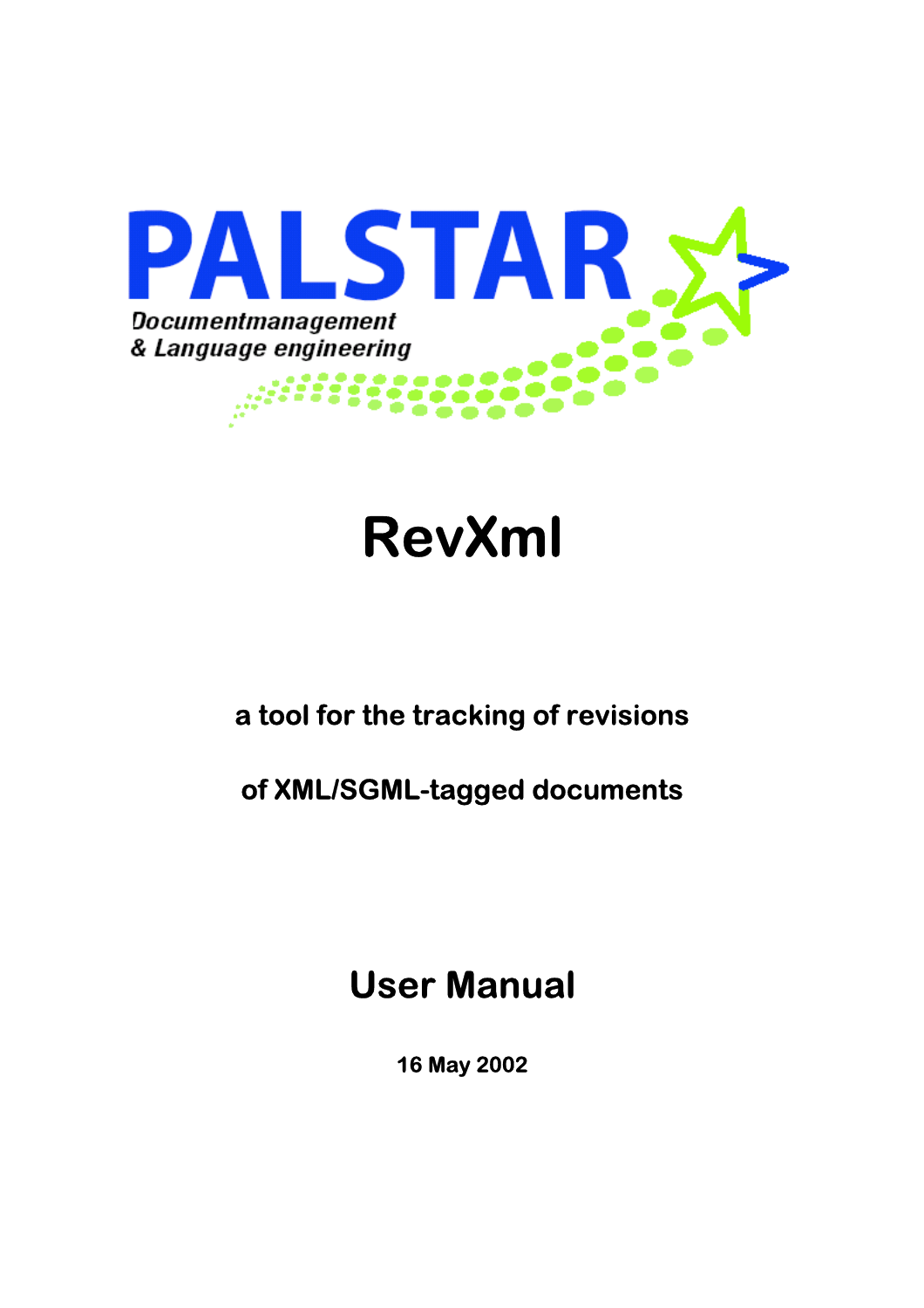

# **RevXml**

### **a tool for the tracking of revisions**

### **of XML/SGML-tagged documents**

## **User Manual**

 **16 May 2002**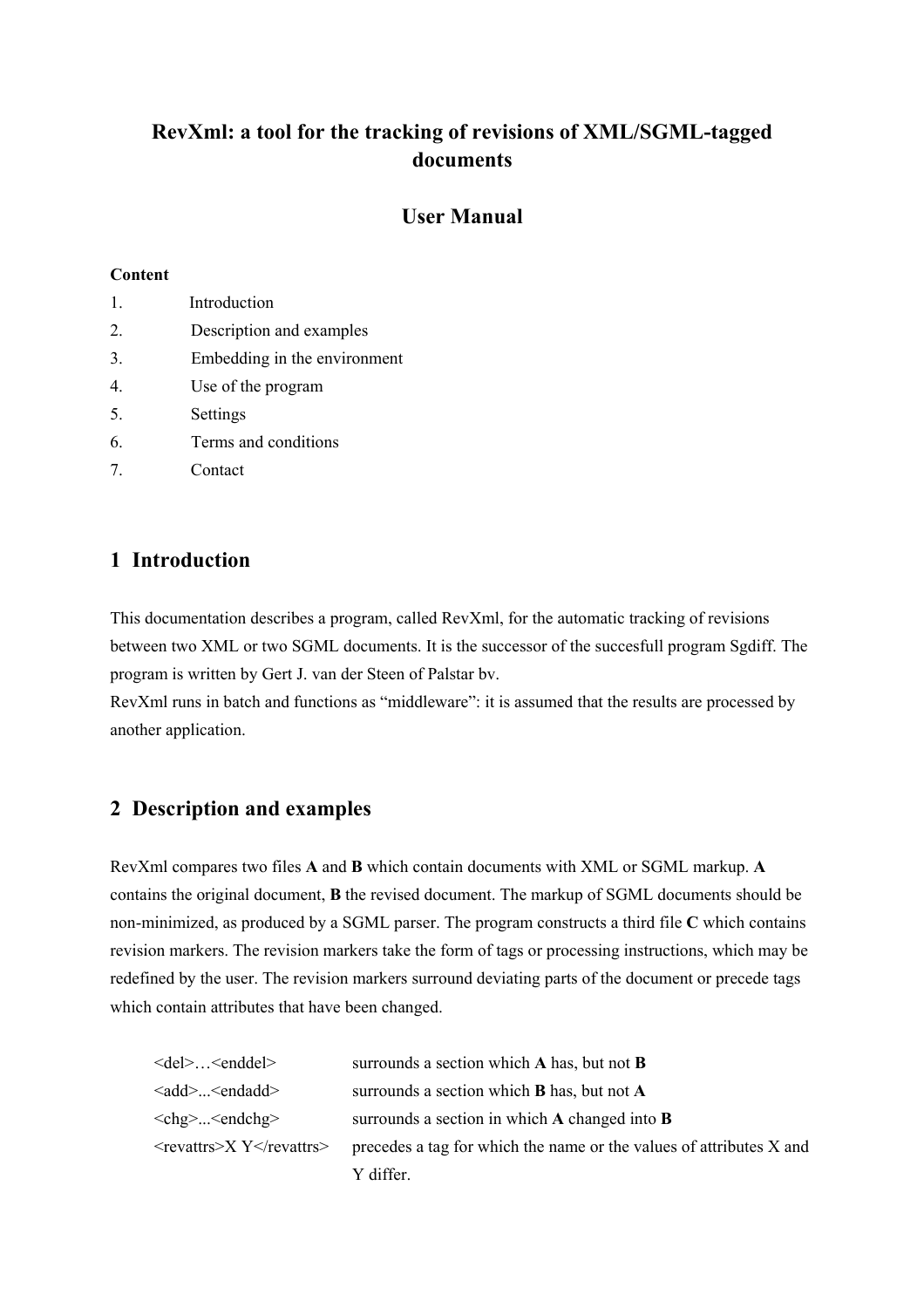### **RevXml: a tool for the tracking of revisions of XML/SGML-tagged documents**

#### **User Manual**

#### **Content**

| $\mathbf{1}$ . | Introduction                 |
|----------------|------------------------------|
| 2.             | Description and examples     |
| 3.             | Embedding in the environment |
| 4.             | Use of the program           |
| 5.             | Settings                     |
| 6.             | Terms and conditions         |
| 7              | Contact                      |

#### **1 Introduction**

This documentation describes a program, called RevXml, for the automatic tracking of revisions between two XML or two SGML documents. It is the successor of the succesfull program Sgdiff. The program is written by Gert J. van der Steen of Palstar bv.

RevXml runs in batch and functions as "middleware": it is assumed that the results are processed by another application.

#### **2 Description and examples**

RevXml compares two files **A** and **B** which contain documents with XML or SGML markup. **A** contains the original document, **B** the revised document. The markup of SGML documents should be non-minimized, as produced by a SGML parser. The program constructs a third file **C** which contains revision markers. The revision markers take the form of tags or processing instructions, which may be redefined by the user. The revision markers surround deviating parts of the document or precede tags which contain attributes that have been changed.

| <del><enddel></enddel></del> | surrounds a section which $A$ has, but not $B$                      |
|------------------------------|---------------------------------------------------------------------|
| <add><endadd></endadd></add> | surrounds a section which <b>B</b> has, but not <b>A</b>            |
| <chg><endchg></endchg></chg> | surrounds a section in which A changed into <b>B</b>                |
| <revattrs>X Y</revattrs>     | precedes a tag for which the name or the values of attributes X and |
|                              | Y differ.                                                           |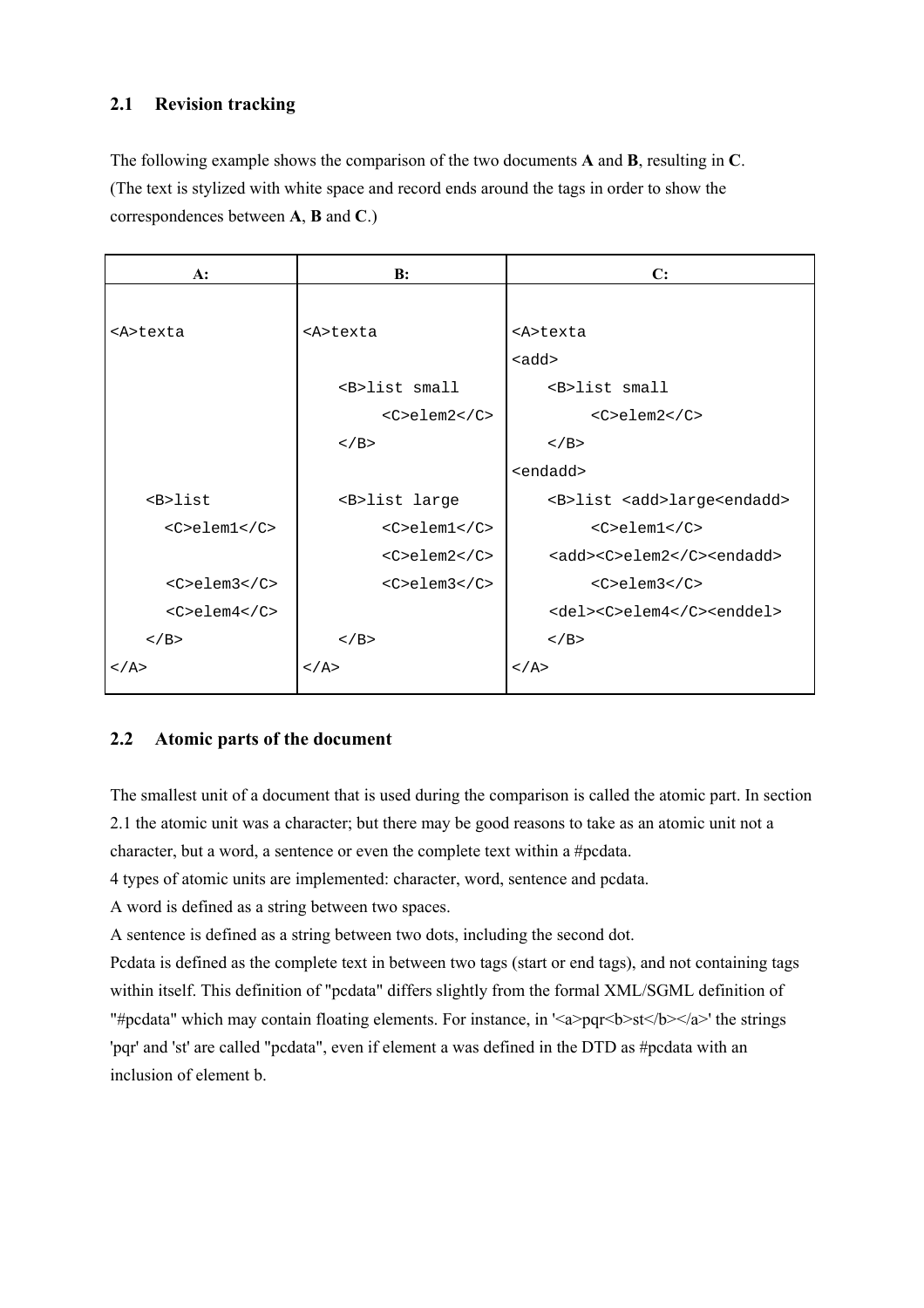#### **2.1 Revision tracking**

The following example shows the comparison of the two documents **A** and **B**, resulting in **C**. (The text is stylized with white space and record ends around the tags in order to show the correspondences between **A**, **B** and **C**.)

| $A$ :               | B:                      | C:                                            |
|---------------------|-------------------------|-----------------------------------------------|
|                     |                         |                                               |
| <a>texta</a>        | <a>texta</a>            | <a>texta</a>                                  |
|                     |                         | $<$ add $>$                                   |
|                     | <b>list small</b>       | <b>list small</b>                             |
|                     | $<$ C>elem2             | $<$ C>elem2                                   |
|                     | $\langle$ /B>           | $\langle$ /B>                                 |
|                     |                         | <endadd></endadd>                             |
| $B>list$            | <b>list large</b>       | <b>list <add>large<endadd></endadd></add></b> |
| $<$ C>elem $1$      | $<$ C>elem $1$ < $/C$ > | <c>elem1</c>                                  |
|                     | $<$ C>elem2             | <add><c>elem2</c><endadd></endadd></add>      |
| $<$ C>elem3         | $<$ C>elem $3$          | $<$ C>elem3                                   |
| $<$ C>elem $4$      |                         | <del><c>elem4</c><enddel></enddel></del>      |
| $\langle$ /B>       | $<$ / $B>$              | $<$ / B $>$                                   |
| $\langle A \rangle$ | $\langle A \rangle$     | $<$ / A>                                      |
|                     |                         |                                               |

#### **2.2 Atomic parts of the document**

The smallest unit of a document that is used during the comparison is called the atomic part. In section 2.1 the atomic unit was a character; but there may be good reasons to take as an atomic unit not a character, but a word, a sentence or even the complete text within a #pcdata.

4 types of atomic units are implemented: character, word, sentence and pcdata.

A word is defined as a string between two spaces.

A sentence is defined as a string between two dots, including the second dot.

Pcdata is defined as the complete text in between two tags (start or end tags), and not containing tags within itself. This definition of "pcdata" differs slightly from the formal XML/SGML definition of "#pcdata" which may contain floating elements. For instance, in '<a>pqr<b>st</b></a>' the strings 'pqr' and 'st' are called "pcdata", even if element a was defined in the DTD as #pcdata with an inclusion of element b.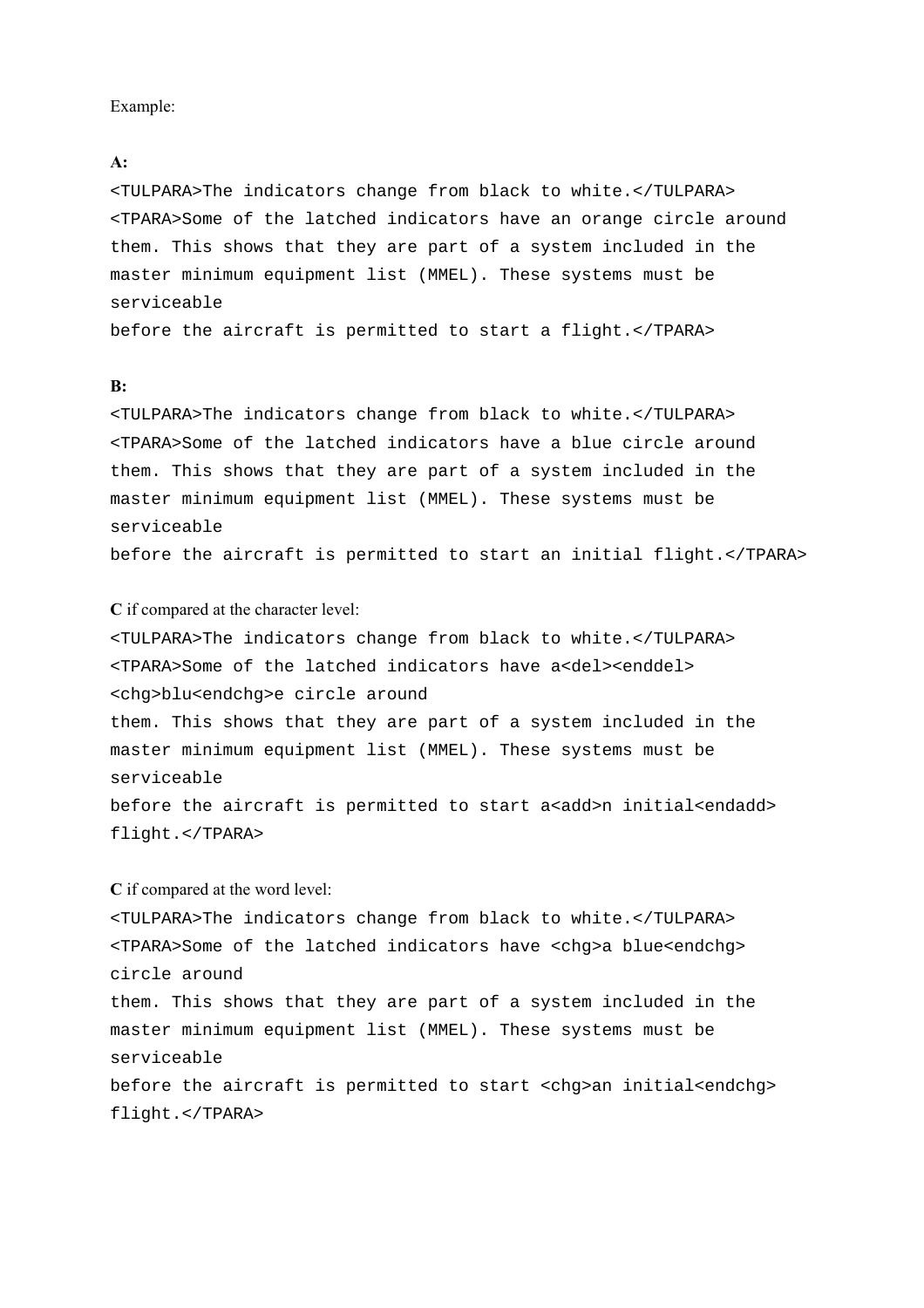#### Example:

#### **A:**

<TULPARA>The indicators change from black to white.</TULPARA> <TPARA>Some of the latched indicators have an orange circle around them. This shows that they are part of a system included in the master minimum equipment list (MMEL). These systems must be serviceable

before the aircraft is permitted to start a flight.</TPARA>

#### **B:**

<TULPARA>The indicators change from black to white.</TULPARA> <TPARA>Some of the latched indicators have a blue circle around them. This shows that they are part of a system included in the master minimum equipment list (MMEL). These systems must be serviceable

before the aircraft is permitted to start an initial flight.</TPARA>

#### **C** if compared at the character level:

<TULPARA>The indicators change from black to white.</TULPARA> <TPARA>Some of the latched indicators have a<del><enddel> <chg>blu<endchg>e circle around

them. This shows that they are part of a system included in the master minimum equipment list (MMEL). These systems must be serviceable

before the aircraft is permitted to start a<add>n initial<endadd> flight.</TPARA>

#### **C** if compared at the word level:

<TULPARA>The indicators change from black to white.</TULPARA> <TPARA>Some of the latched indicators have <chg>a blue<endchg> circle around

them. This shows that they are part of a system included in the master minimum equipment list (MMEL). These systems must be serviceable

before the aircraft is permitted to start <chg>an initial<endchg> flight.</TPARA>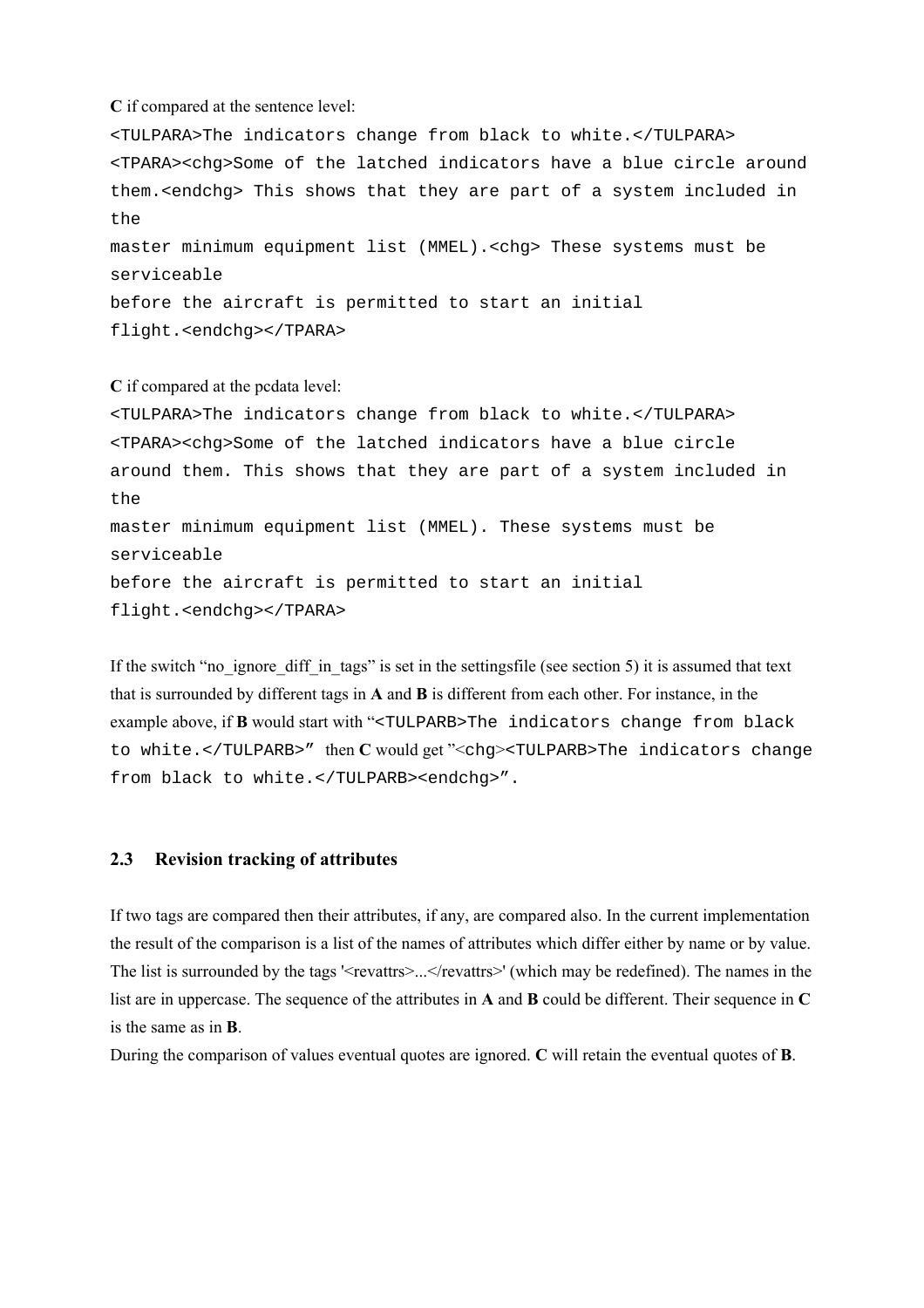**C** if compared at the sentence level:

<TULPARA>The indicators change from black to white.</TULPARA> <TPARA><chg>Some of the latched indicators have a blue circle around them.<endchg> This shows that they are part of a system included in  $th$  $\alpha$ master minimum equipment list (MMEL).<chg> These systems must be serviceable before the aircraft is permitted to start an initial flight.<endchg></TPARA>

**C** if compared at the pcdata level: <TULPARA>The indicators change from black to white.</TULPARA> <TPARA><chg>Some of the latched indicators have a blue circle around them. This shows that they are part of a system included in the master minimum equipment list (MMEL). These systems must be serviceable before the aircraft is permitted to start an initial flight.<endchg></TPARA>

If the switch "no ignore diff in tags" is set in the settingsfile (see section 5) it is assumed that text that is surrounded by different tags in **A** and **B** is different from each other. For instance, in the example above, if **B** would start with "<TULPARB>The indicators change from black to white.</TULPARB>" then **C** would get "<chg><TULPARB>The indicators change from black to white.</TULPARB><endchg>".

#### **2.3 Revision tracking of attributes**

If two tags are compared then their attributes, if any, are compared also. In the current implementation the result of the comparison is a list of the names of attributes which differ either by name or by value. The list is surrounded by the tags '<revattrs>...</revattrs>' (which may be redefined). The names in the list are in uppercase. The sequence of the attributes in **A** and **B** could be different. Their sequence in **C** is the same as in **B**.

During the comparison of values eventual quotes are ignored. **C** will retain the eventual quotes of **B**.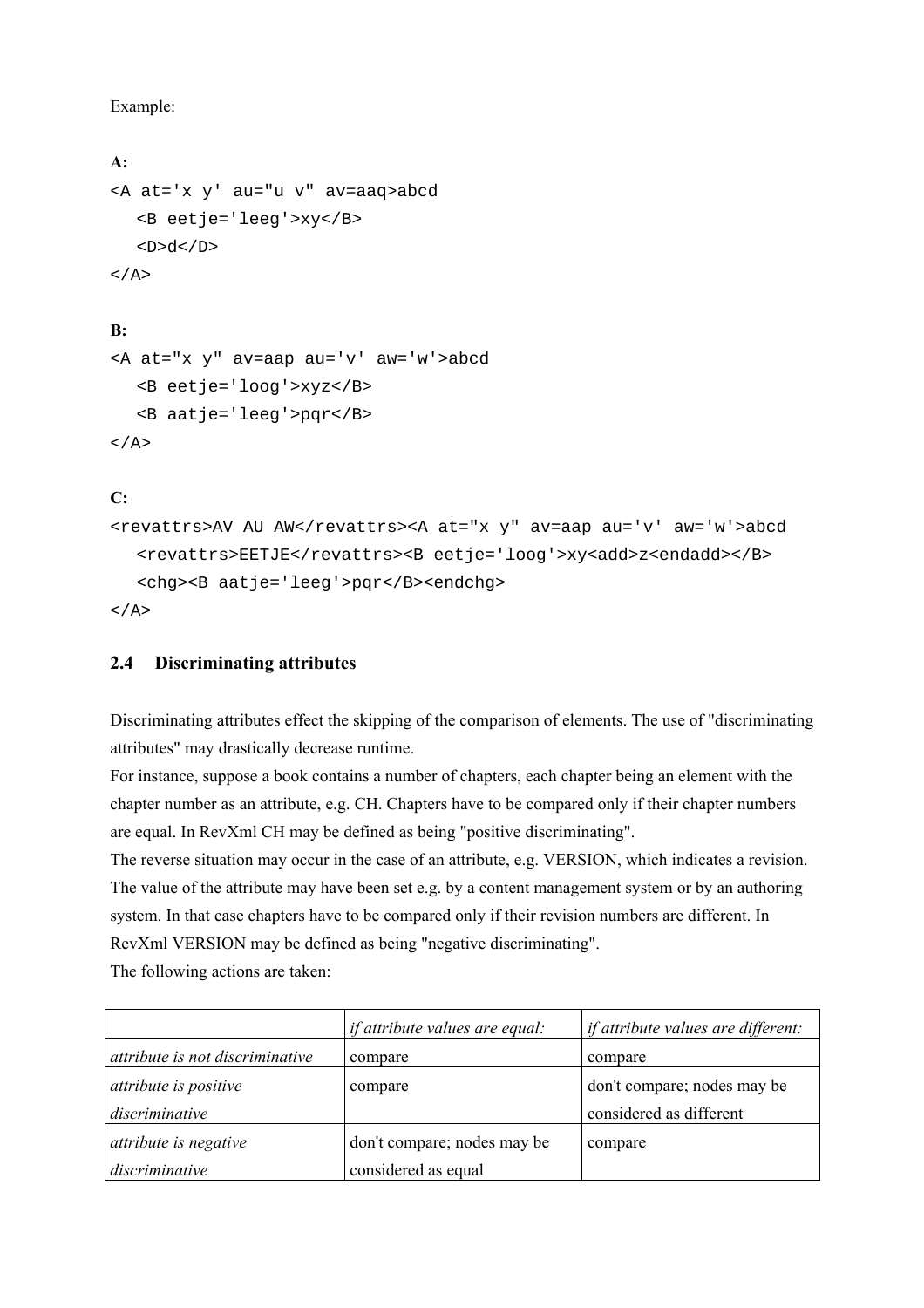Example:

```
A:
<A at='x y' au="u v" av=aaq>abcd 
    <B eetje='leeg'>xy</B> 
   <D>d</D>
\langle / A>
```
#### **B:**

```
<A at="x y" av=aap au='v' aw='w'>abcd 
    <B eetje='loog'>xyz</B> 
    <B aatje='leeg'>pqr</B> 
\langle A \rangle
```
#### **C:**

```
<revattrs>AV AU AW</revattrs><A at="x y" av=aap au='v' aw='w'>abcd 
  <revattrs>EETJE</revattrs><B eetje='loog'>xy<add>z<endadd></B>
   <chg><B aatje='leeg'>pqr</B><endchg> 
\langle / A >
```
#### **2.4 Discriminating attributes**

Discriminating attributes effect the skipping of the comparison of elements. The use of "discriminating attributes" may drastically decrease runtime.

For instance, suppose a book contains a number of chapters, each chapter being an element with the chapter number as an attribute, e.g. CH. Chapters have to be compared only if their chapter numbers are equal. In RevXml CH may be defined as being "positive discriminating".

The reverse situation may occur in the case of an attribute, e.g. VERSION, which indicates a revision. The value of the attribute may have been set e.g. by a content management system or by an authoring system. In that case chapters have to be compared only if their revision numbers are different. In RevXml VERSION may be defined as being "negative discriminating".

The following actions are taken:

|                                 | <i>if attribute values are equal:</i> | <i>if attribute values are different:</i> |
|---------------------------------|---------------------------------------|-------------------------------------------|
| attribute is not discriminative | compare                               | compare                                   |
| attribute is positive           | compare                               | don't compare; nodes may be               |
| discriminative                  |                                       | considered as different                   |
| attribute is negative           | don't compare; nodes may be           | compare                                   |
| discriminative                  | considered as equal                   |                                           |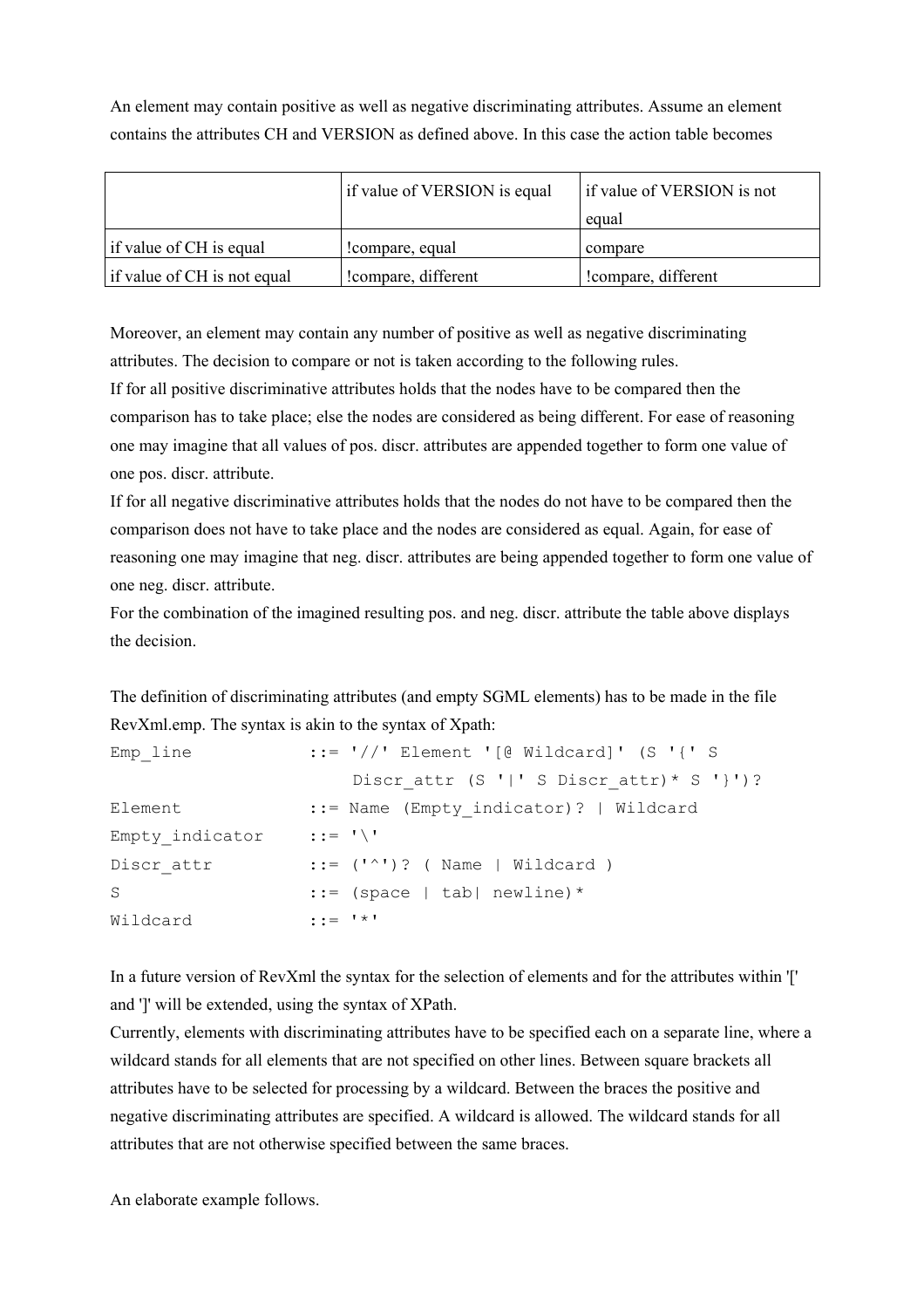An element may contain positive as well as negative discriminating attributes. Assume an element contains the attributes CH and VERSION as defined above. In this case the action table becomes

|                             | if value of VERSION is equal | if value of VERSION is not |
|-----------------------------|------------------------------|----------------------------|
|                             |                              | equal                      |
| if value of CH is equal     | compare, equal               | compare                    |
| if value of CH is not equal | compare, different           | compare, different         |

Moreover, an element may contain any number of positive as well as negative discriminating attributes. The decision to compare or not is taken according to the following rules.

If for all positive discriminative attributes holds that the nodes have to be compared then the comparison has to take place; else the nodes are considered as being different. For ease of reasoning one may imagine that all values of pos. discr. attributes are appended together to form one value of one pos. discr. attribute.

If for all negative discriminative attributes holds that the nodes do not have to be compared then the comparison does not have to take place and the nodes are considered as equal. Again, for ease of reasoning one may imagine that neg. discr. attributes are being appended together to form one value of one neg. discr. attribute.

For the combination of the imagined resulting pos. and neg. discr. attribute the table above displays the decision.

The definition of discriminating attributes (and empty SGML elements) has to be made in the file RevXml.emp. The syntax is akin to the syntax of Xpath:

| Emp line        | $::=$ $'//$ ' Element '[@ Wildcard]' (S '{' S               |
|-----------------|-------------------------------------------------------------|
|                 | Discr attr $(S'   ' S'')$ Suiscr attr) * S '}')?            |
| Element         | ::= Name (Empty indicator)?   Wildcard                      |
| Empty indicator | $\cdot : \cdot = \cdot \cdot \setminus \cdot$               |
| Discr attr      | $::= ('^{\wedge})$ ? ( Name   Wildcard )                    |
| S               | $::=$ (space   tab  newline) *                              |
| Wildcard        | $\mathbf{t} \cdot \mathbf{t} = \mathbf{t} \cdot \mathbf{t}$ |

In a future version of RevXml the syntax for the selection of elements and for the attributes within '[' and ']' will be extended, using the syntax of XPath.

Currently, elements with discriminating attributes have to be specified each on a separate line, where a wildcard stands for all elements that are not specified on other lines. Between square brackets all attributes have to be selected for processing by a wildcard. Between the braces the positive and negative discriminating attributes are specified. A wildcard is allowed. The wildcard stands for all attributes that are not otherwise specified between the same braces.

An elaborate example follows.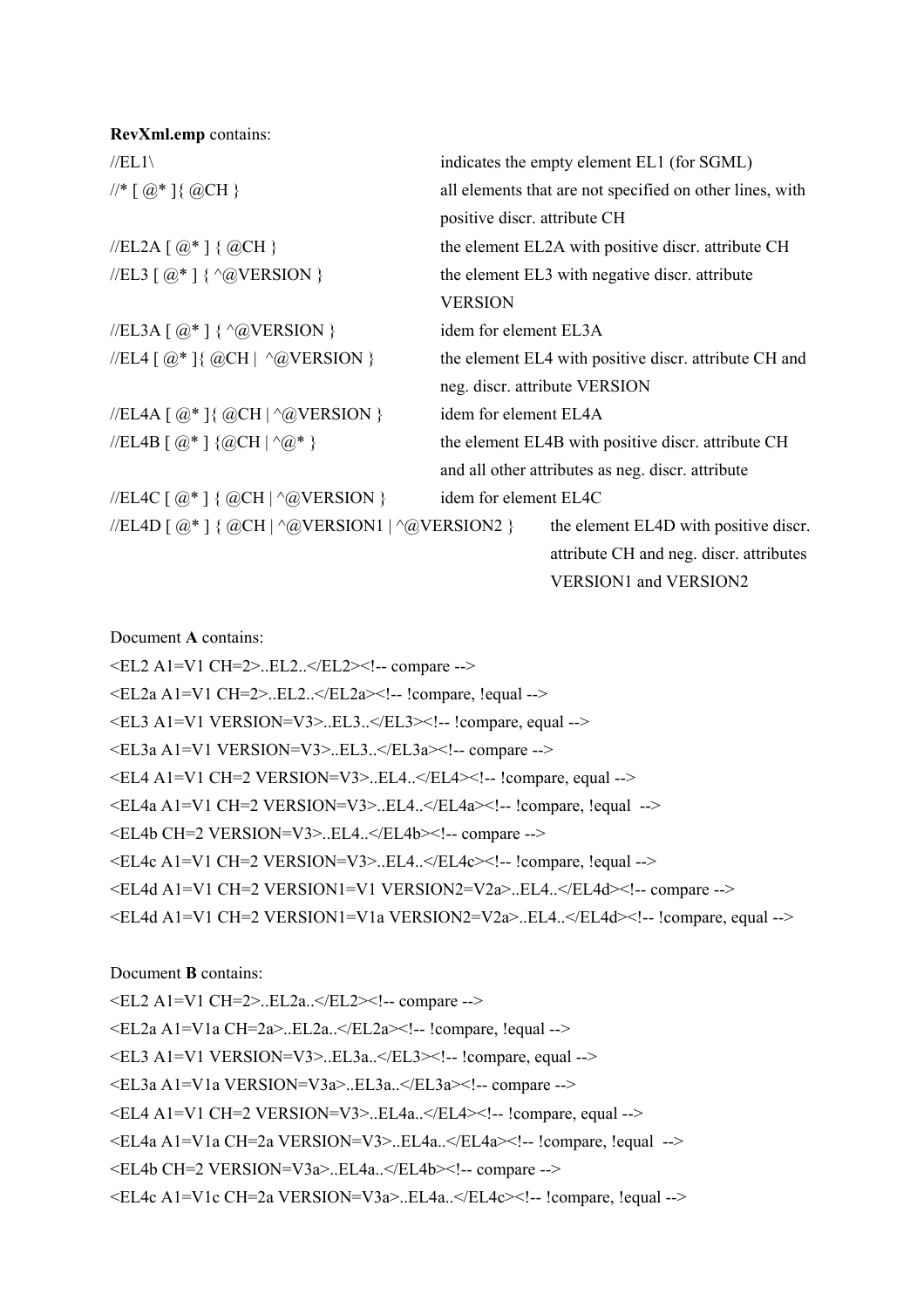| RevXml.emp contains:                                       |                                                          |
|------------------------------------------------------------|----------------------------------------------------------|
| $//EL1\$                                                   | indicates the empty element EL1 (for SGML)               |
| $\frac{1}{*}$ [ $\omega^*$ ] { $\omega$ CH }               | all elements that are not specified on other lines, with |
|                                                            | positive discr. attribute CH                             |
| //EL2A [ $@^*$ ] { $@CH$ }                                 | the element EL2A with positive discr. attribute CH       |
| //EL3 [ $@^{\ast}$ ] { ^@VERSION }                         | the element EL3 with negative discr. attribute           |
|                                                            | <b>VERSION</b>                                           |
| //EL3A [ $@^*$ ] { $^{\wedge}@VERSION$ }                   | idem for element EL3A                                    |
| //EL4 [ $@^*$ ]{ $@CH$   ^ $@VERSION$ }                    | the element EL4 with positive discr. attribute CH and    |
|                                                            | neg. discr. attribute VERSION                            |
| //EL4A [ $@^*$ ] { $@CH$   $^*$ $@VERSION$ }               | idem for element EL4A                                    |
| //EL4B [ $@^*$ ] { $@CH$   $^*@^*$ }                       | the element EL4B with positive discr. attribute CH       |
|                                                            | and all other attributes as neg. discr. attribute        |
| //EL4C [ $@^*$ ] { $@CH$   $^*$ $@VERSION$ }               | idem for element EL4C                                    |
| //EL4D [ $@^*$ ] { $@CH$   $^*@VERSION1$   $^*@VERSION2$ } | the element EL4D with positive discr.                    |
|                                                            | attribute CH and neg. discr. attributes                  |

#### VERSION1 and VERSION2

Document **A** contains:

<EL2 A1=V1 CH=2>..EL2..</EL2><!-- compare -->  $\leq E$ L2a A1=V1 CH=2>..EL2.. $\leq$ /EL2a> $\leq$ !-- !compare, !equal --> <EL3 A1=V1 VERSION=V3>..EL3..</EL3><!-- !compare, equal --> <EL3a A1=V1 VERSION=V3>..EL3..</EL3a><!-- compare --> <EL4 A1=V1 CH=2 VERSION=V3>..EL4..</EL4><!-- !compare, equal --> <EL4a A1=V1 CH=2 VERSION=V3>..EL4..</EL4a><!-- !compare, !equal --> <EL4b CH=2 VERSION=V3>..EL4..</EL4b><!-- compare --> <EL4c A1=V1 CH=2 VERSION=V3>..EL4..</EL4c><!-- !compare, !equal --> <EL4d A1=V1 CH=2 VERSION1=V1 VERSION2=V2a>..EL4..</EL4d><!-- compare --> <EL4d A1=V1 CH=2 VERSION1=V1a VERSION2=V2a>..EL4..</EL4d><!-- !compare, equal -->

#### Document **B** contains:

<EL2 A1=V1 CH=2>..EL2a..</EL2><!-- compare --> <EL2a A1=V1a CH=2a>..EL2a..</EL2a><!-- !compare, !equal --> <EL3 A1=V1 VERSION=V3>..EL3a..</EL3><!-- !compare, equal --> <EL3a A1=V1a VERSION=V3a>..EL3a..</EL3a><!-- compare --> <EL4 A1=V1 CH=2 VERSION=V3>..EL4a..</EL4><!-- !compare, equal --> <EL4a A1=V1a CH=2a VERSION=V3>..EL4a..</EL4a><!-- !compare, !equal --> <EL4b CH=2 VERSION=V3a>..EL4a..</EL4b><!-- compare -->

<EL4c A1=V1c CH=2a VERSION=V3a>..EL4a..</EL4c><!-- !compare, !equal -->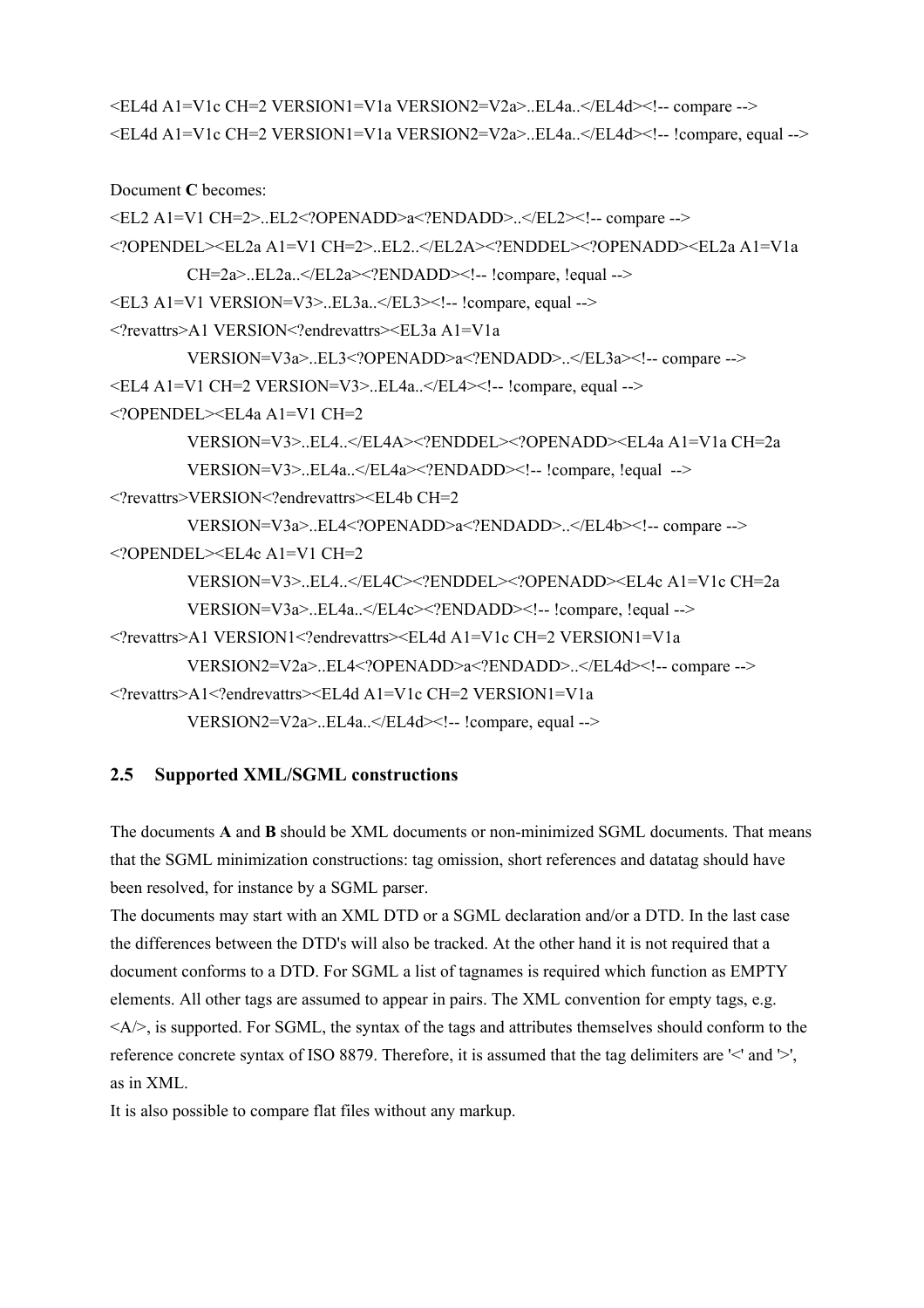```
<EL4d A1=V1c CH=2 VERSION1=V1a VERSION2=V2a>..EL4a..</EL4d><!-- compare --> 
<EL4d A1=V1c CH=2 VERSION1=V1a VERSION2=V2a>..EL4a..</EL4d><!-- !compare, equal -->
```
Document **C** becomes:

```
<EL2 A1=V1 CH=2>..EL2<?OPENADD>a<?ENDADD>..</EL2><!-- compare --> 
<?OPENDEL><EL2a A1=V1 CH=2>..EL2..</EL2A><?ENDDEL><?OPENADD><EL2a A1=V1a 
         CH=2a...EL2a. \leq EL2a \leq 2ENDADD \leq l - l \leq l \leq l \leq l \leq l \leq l\leqEL3 A1=V1 VERSION=V3>..EL3a..\leqEL3>\leq!-- !compare, equal -->
<?revattrs>A1 VERSION<?endrevattrs><EL3a A1=V1a 
         VERSION=V3a>..EL3<?OPENADD>a<?ENDADD>..</EL3a><!-- compare --> 
\leqEL4 A1=V1 CH=2 VERSION=V3>..EL4a..\leqEL4>\leq!-- !compare, equal -->
<?OPENDEL><EL4a A1=V1 CH=2 
         VERSION=V3>..EL4..</EL4A><?ENDDEL><?OPENADD><EL4a A1=V1a CH=2a 
         VERSION=V3>..EL4a..</EL4a><?ENDADD><!-- !compare, !equal --> 
<?revattrs>VERSION<?endrevattrs><EL4b CH=2 
         VERSION=V3a>..EL4<?OPENADD>a<?ENDADD>..</EL4b><!-- compare --> 
\langle <?OPENDEL>\leqEL4c A1=V1 CH=2
         VERSION=V3>..EL4..</EL4C><?ENDDEL><?OPENADD><EL4c A1=V1c CH=2a 
         VERSION=V3a>..EL4a..</EL4c><?ENDADD><!-- !compare, !equal --> 
<?revattrs>A1 VERSION1<?endrevattrs><EL4d A1=V1c CH=2 VERSION1=V1a 
         VERSION2=V2a>..EL4<?OPENADD>a<?ENDADD>..</EL4d><!-- compare --> 
<?revattrs>A1<?endrevattrs><EL4d A1=V1c CH=2 VERSION1=V1a 
         VERSION2=V2a>..EL4a..</EL4d><!-- !compare, equal -->
```
#### **2.5 Supported XML/SGML constructions**

The documents **A** and **B** should be XML documents or non-minimized SGML documents. That means that the SGML minimization constructions: tag omission, short references and datatag should have been resolved, for instance by a SGML parser.

The documents may start with an XML DTD or a SGML declaration and/or a DTD. In the last case the differences between the DTD's will also be tracked. At the other hand it is not required that a document conforms to a DTD. For SGML a list of tagnames is required which function as EMPTY elements. All other tags are assumed to appear in pairs. The XML convention for empty tags, e.g.  $\langle A \rangle$ , is supported. For SGML, the syntax of the tags and attributes themselves should conform to the reference concrete syntax of ISO 8879. Therefore, it is assumed that the tag delimiters are '<' and '>', as in XML.

It is also possible to compare flat files without any markup.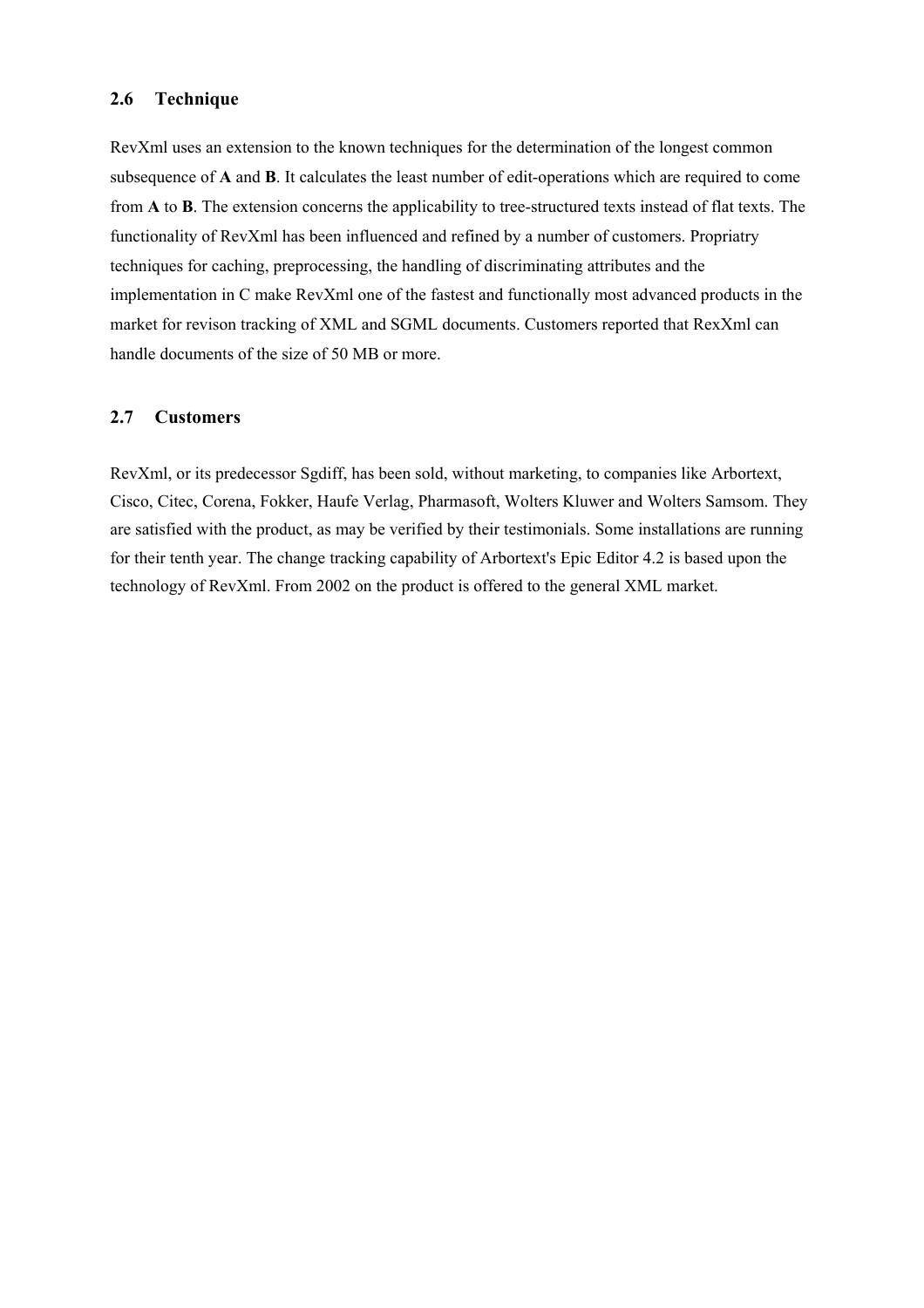#### **2.6 Technique**

RevXml uses an extension to the known techniques for the determination of the longest common subsequence of **A** and **B**. It calculates the least number of edit-operations which are required to come from **A** to **B**. The extension concerns the applicability to tree-structured texts instead of flat texts. The functionality of RevXml has been influenced and refined by a number of customers. Propriatry techniques for caching, preprocessing, the handling of discriminating attributes and the implementation in C make RevXml one of the fastest and functionally most advanced products in the market for revison tracking of XML and SGML documents. Customers reported that RexXml can handle documents of the size of 50 MB or more.

#### **2.7 Customers**

RevXml, or its predecessor Sgdiff, has been sold, without marketing, to companies like Arbortext, Cisco, Citec, Corena, Fokker, Haufe Verlag, Pharmasoft, Wolters Kluwer and Wolters Samsom. They are satisfied with the product, as may be verified by their testimonials. Some installations are running for their tenth year. The change tracking capability of Arbortext's Epic Editor 4.2 is based upon the technology of RevXml. From 2002 on the product is offered to the general XML market.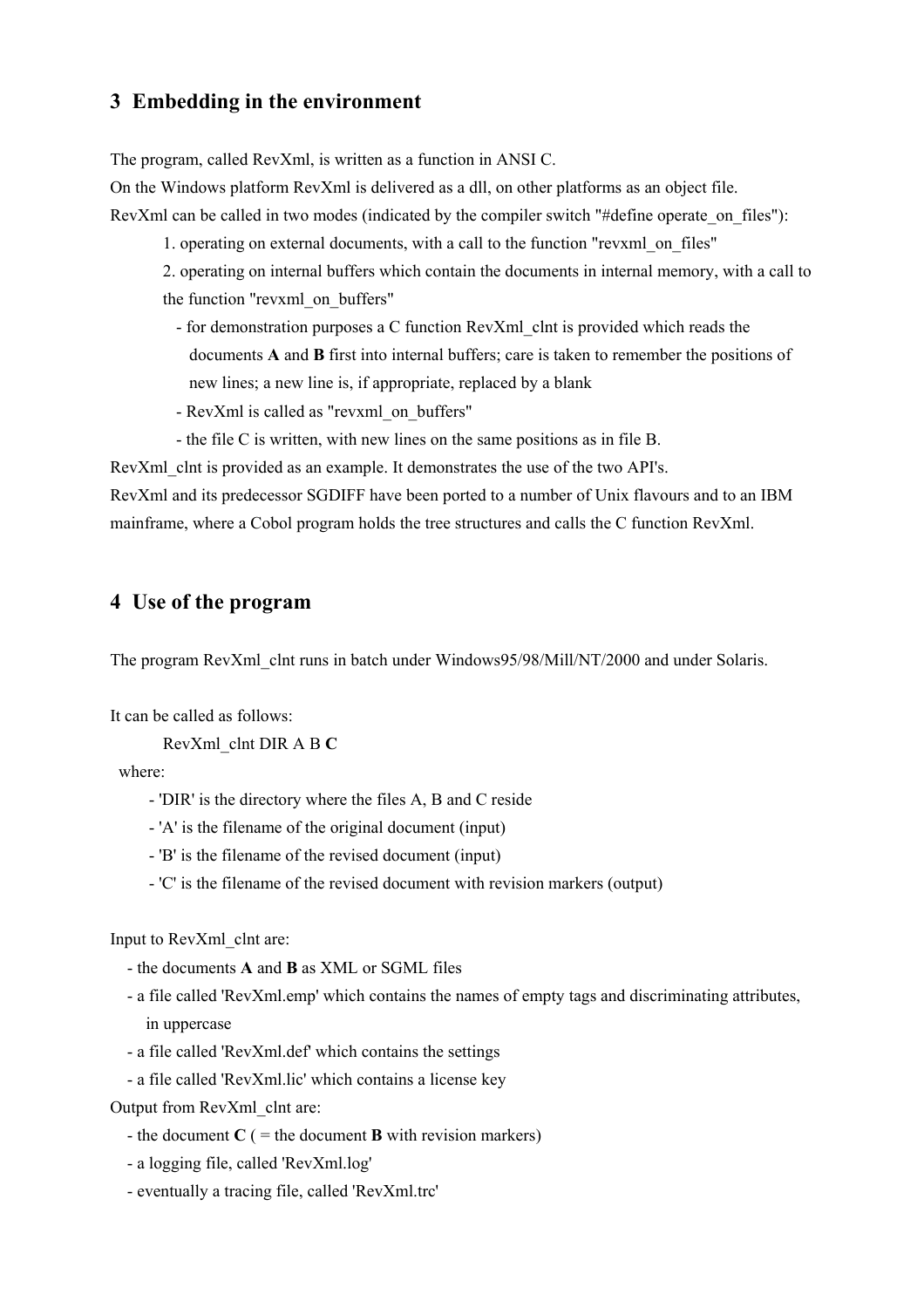#### **3 Embedding in the environment**

The program, called RevXml, is written as a function in ANSI C.

On the Windows platform RevXml is delivered as a dll, on other platforms as an object file.

RevXml can be called in two modes (indicated by the compiler switch "#define operate on files"):

1. operating on external documents, with a call to the function "revxml\_on\_files"

2. operating on internal buffers which contain the documents in internal memory, with a call to the function "revxml\_on\_buffers"

- for demonstration purposes a C function RevXml\_clnt is provided which reads the documents **A** and **B** first into internal buffers; care is taken to remember the positions of new lines; a new line is, if appropriate, replaced by a blank
- RevXml is called as "revxml\_on\_buffers"
- the file C is written, with new lines on the same positions as in file B.

RevXml clnt is provided as an example. It demonstrates the use of the two API's. RevXml and its predecessor SGDIFF have been ported to a number of Unix flavours and to an IBM mainframe, where a Cobol program holds the tree structures and calls the C function RevXml.

#### **4 Use of the program**

The program RevXml clnt runs in batch under Windows95/98/Mill/NT/2000 and under Solaris.

It can be called as follows:

RevXml\_clnt DIR A B **C**

where:

- 'DIR' is the directory where the files A, B and C reside
- 'A' is the filename of the original document (input)
- 'B' is the filename of the revised document (input)
- 'C' is the filename of the revised document with revision markers (output)

Input to RevXml\_clnt are:

- the documents **A** and **B** as XML or SGML files
- a file called 'RevXml.emp' which contains the names of empty tags and discriminating attributes, in uppercase
- a file called 'RevXml.def' which contains the settings
- a file called 'RevXml.lic' which contains a license key

Output from RevXml\_clnt are:

- the document  $C$  ( $=$  the document **B** with revision markers)
- a logging file, called 'RevXml.log'
- eventually a tracing file, called 'RevXml.trc'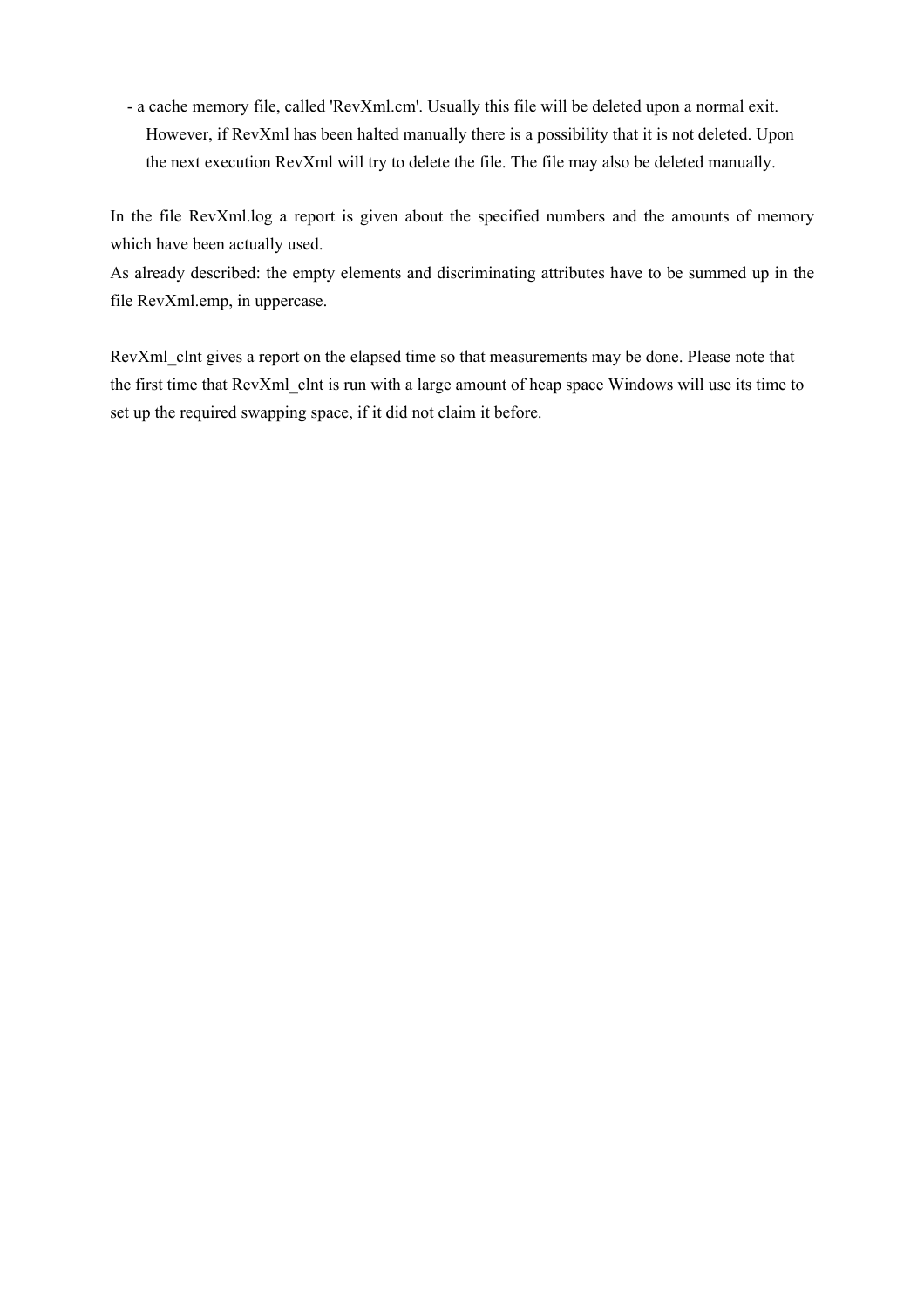- a cache memory file, called 'RevXml.cm'. Usually this file will be deleted upon a normal exit. However, if RevXml has been halted manually there is a possibility that it is not deleted. Upon the next execution RevXml will try to delete the file. The file may also be deleted manually.

In the file RevXml.log a report is given about the specified numbers and the amounts of memory which have been actually used.

As already described: the empty elements and discriminating attributes have to be summed up in the file RevXml.emp, in uppercase.

RevXml clnt gives a report on the elapsed time so that measurements may be done. Please note that the first time that RevXml clnt is run with a large amount of heap space Windows will use its time to set up the required swapping space, if it did not claim it before.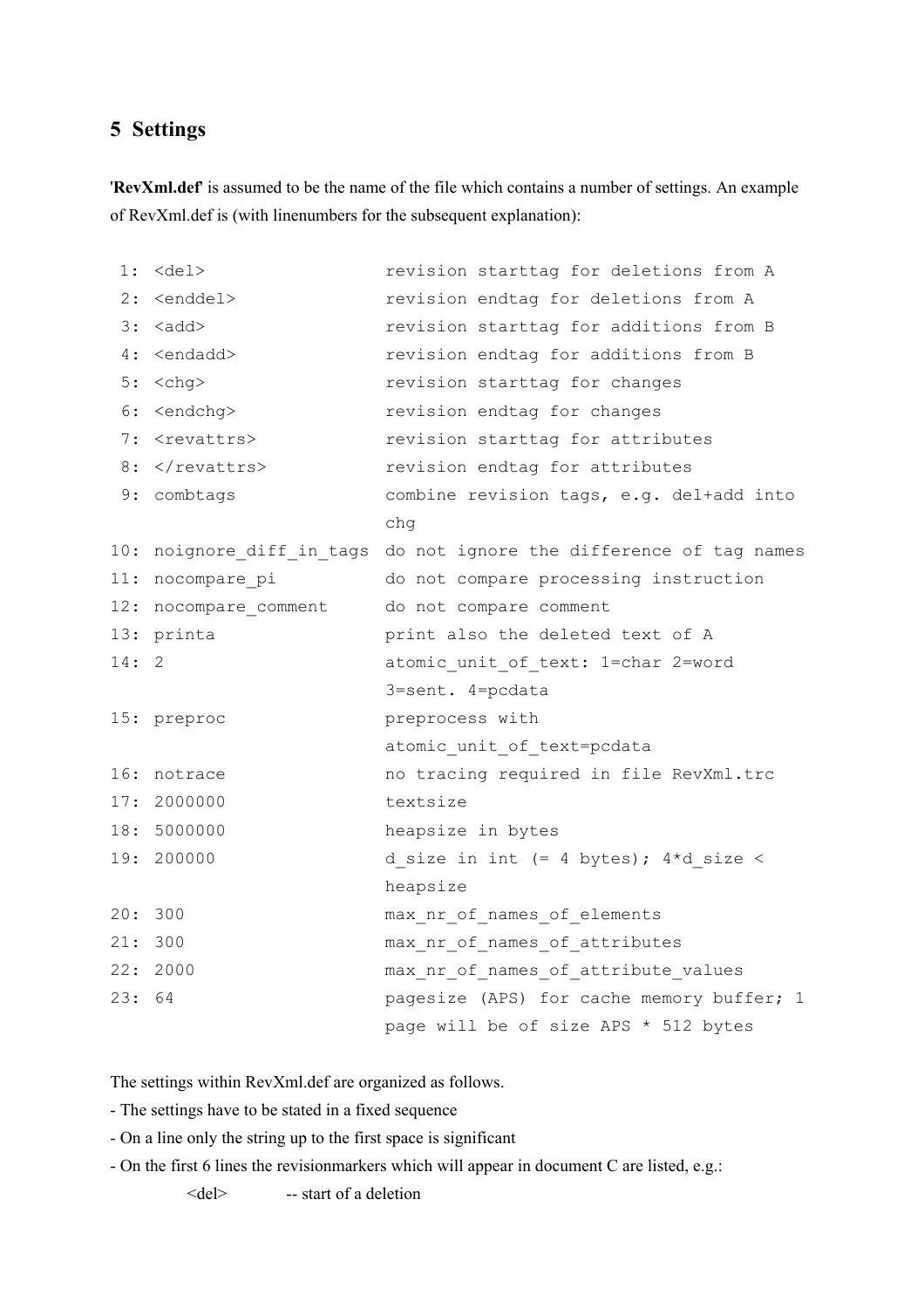#### **5 Settings**

'**RevXml.def**' is assumed to be the name of the file which contains a number of settings. An example of RevXml.def is (with linenumbers for the subsequent explanation):

| 1:   | $<$ del $>$              | revision starttag for deletions from A                              |
|------|--------------------------|---------------------------------------------------------------------|
| 2:   | <enddel></enddel>        | revision endtag for deletions from A                                |
| 3:   | <add></add>              | revision starttag for additions from B                              |
|      | 4: <endadd></endadd>     | revision endtag for additions from B                                |
| 5:   | <chg></chg>              | revision starttag for changes                                       |
| 6 :  | <endchg></endchg>        | revision endtag for changes                                         |
|      | 7: <revattrs></revattrs> | revision starttag for attributes                                    |
|      | $8:$                     | revision endtag for attributes                                      |
|      | 9: combtags              | combine revision tags, e.g. del+add into                            |
|      |                          | chg                                                                 |
|      |                          | 10: noignore diff in tags do not ignore the difference of tag names |
| 11:  | nocompare pi             | do not compare processing instruction                               |
| 12:  | nocompare comment        | do not compare comment                                              |
|      | 13: printa               | print also the deleted text of A                                    |
| 14:2 |                          | atomic unit of text: 1=char 2=word                                  |
|      |                          | 3=sent. 4=pcdata                                                    |
|      | 15: preproc              | preprocess with                                                     |
|      |                          | atomic unit of text=pcdata                                          |
|      | 16: notrace              | no tracing required in file RevXml.trc                              |
|      | 17: 2000000              | textsize                                                            |
|      | 18: 5000000              | heapsize in bytes                                                   |
| 19:  | 200000                   | d size in int $(= 4 \text{ bytes})$ ; $4*d$ size <                  |
|      |                          | heapsize                                                            |
| 20:  | 300                      | max nr of names of elements                                         |
|      | 21: 300                  | max nr of names of attributes                                       |
|      | 22: 2000                 | max nr of names of attribute values                                 |
| 23:  | 64                       | pagesize (APS) for cache memory buffer; 1                           |
|      |                          | page will be of size APS * 512 bytes                                |

The settings within RevXml.def are organized as follows.

- The settings have to be stated in a fixed sequence
- On a line only the string up to the first space is significant
- On the first 6 lines the revisionmarkers which will appear in document C are listed, e.g.:

```
<del> -- start of a deletion
```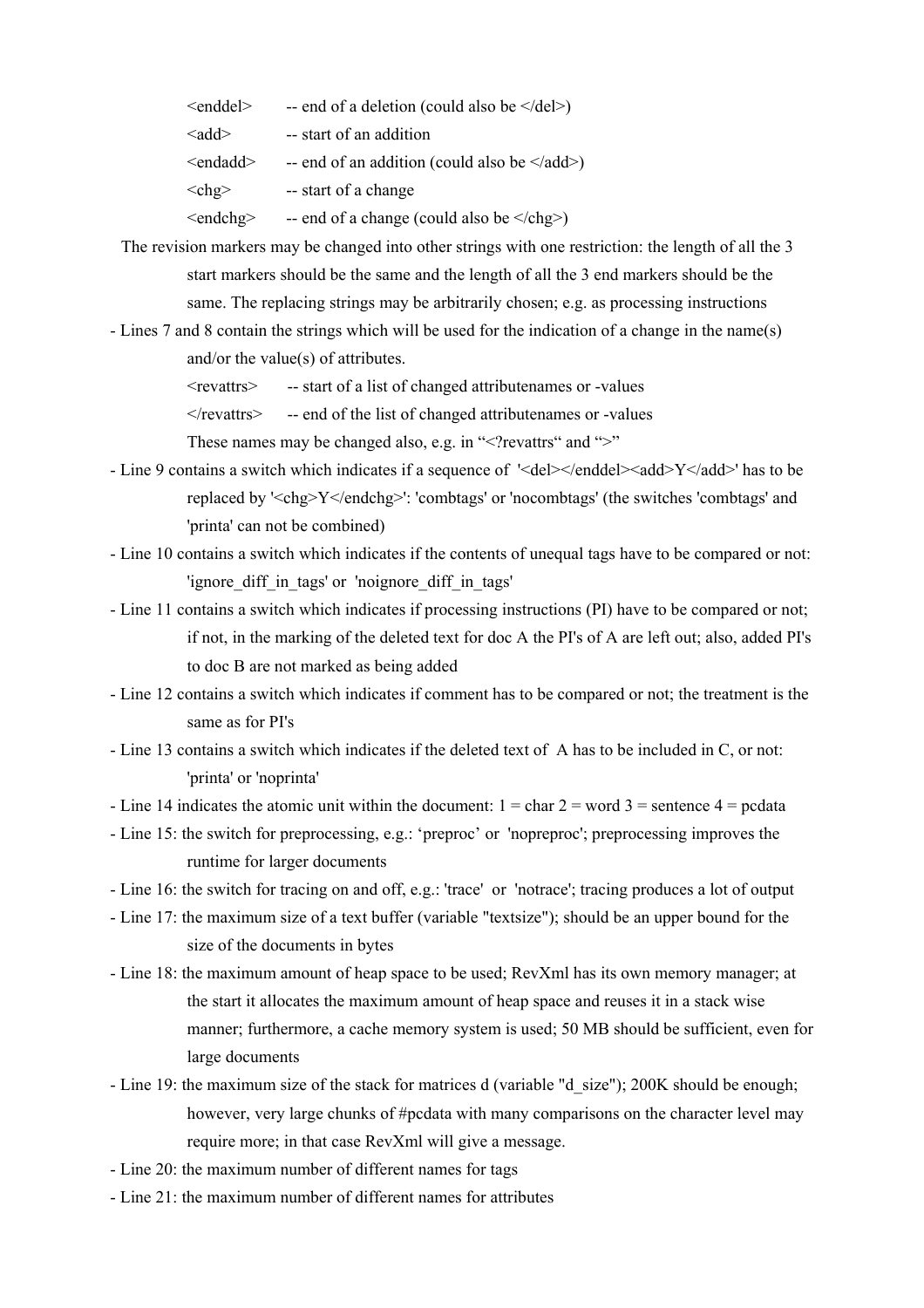$\leq$ enddel $>$  -- end of a deletion (could also be  $\leq$ /del $>$ )

 $\langle \text{add}\rangle$  -- start of an addition

 $\leq$  -- end of an addition (could also be  $\leq$ /add>)

 $\langle$ chg $\rangle$  -- start of a change

 $\langle \text{endchg} \rangle$  -- end of a change (could also be  $\langle \text{chg} \rangle$ )

- The revision markers may be changed into other strings with one restriction: the length of all the 3 start markers should be the same and the length of all the 3 end markers should be the same. The replacing strings may be arbitrarily chosen; e.g. as processing instructions
- Lines 7 and 8 contain the strings which will be used for the indication of a change in the name(s) and/or the value(s) of attributes.

<revattrs> -- start of a list of changed attributenames or -values

 $\langle$  /revattrs  $>$  -- end of the list of changed attributenames or -values

These names may be changed also, e.g. in " $\leq$ ?revattrs" and " $>$ "

- Line 9 contains a switch which indicates if a sequence of '<del></enddel></add>Y</add>' has to be replaced by '<chg>Y</endchg>': 'combtags' or 'nocombtags' (the switches 'combtags' and 'printa' can not be combined)
- Line 10 contains a switch which indicates if the contents of unequal tags have to be compared or not: 'ignore\_diff\_in\_tags' or 'noignore\_diff\_in\_tags'
- Line 11 contains a switch which indicates if processing instructions (PI) have to be compared or not; if not, in the marking of the deleted text for doc A the PI's of A are left out; also, added PI's to doc B are not marked as being added
- Line 12 contains a switch which indicates if comment has to be compared or not; the treatment is the same as for PI's
- Line 13 contains a switch which indicates if the deleted text of A has to be included in C, or not: 'printa' or 'noprinta'
- Line 14 indicates the atomic unit within the document:  $1 = \text{char } 2 = \text{word } 3 = \text{sentence } 4 = \text{pcdata}$
- Line 15: the switch for preprocessing, e.g.: 'preproc' or 'nopreproc'; preprocessing improves the runtime for larger documents
- Line 16: the switch for tracing on and off, e.g.: 'trace' or 'notrace'; tracing produces a lot of output
- Line 17: the maximum size of a text buffer (variable "textsize"); should be an upper bound for the size of the documents in bytes
- Line 18: the maximum amount of heap space to be used; RevXml has its own memory manager; at the start it allocates the maximum amount of heap space and reuses it in a stack wise manner; furthermore, a cache memory system is used; 50 MB should be sufficient, even for large documents
- Line 19: the maximum size of the stack for matrices d (variable "d\_size"); 200K should be enough; however, very large chunks of #pcdata with many comparisons on the character level may require more; in that case RevXml will give a message.
- Line 20: the maximum number of different names for tags
- Line 21: the maximum number of different names for attributes